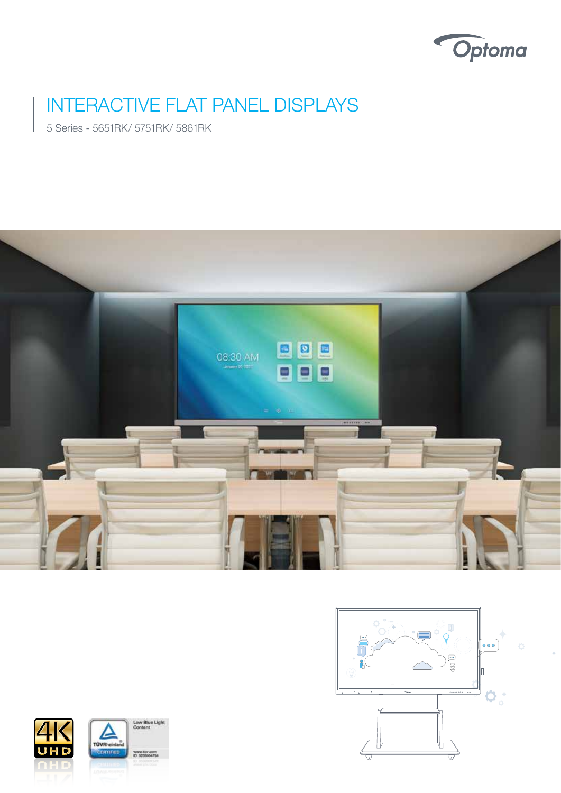

# INTERACTIVE FLAT PANEL DISPLAYS

5 Series - 5651RK/ 5751RK/ 5861RK







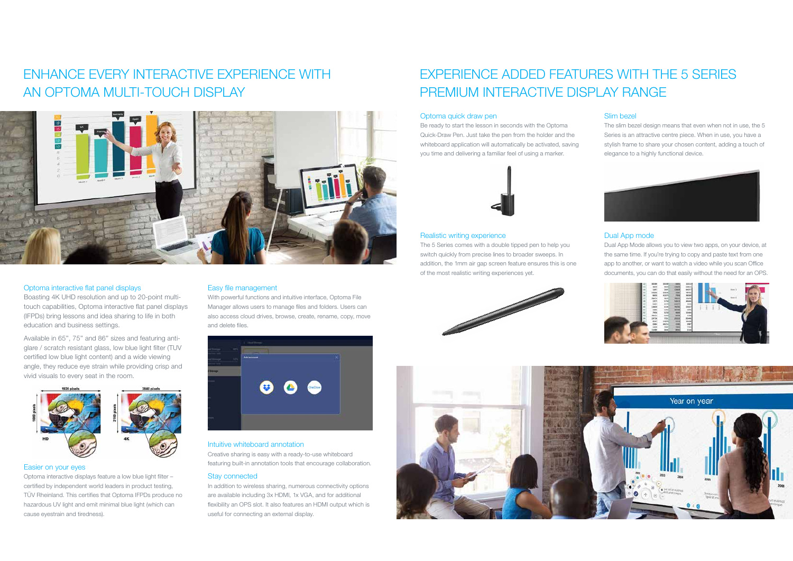# ENHANCE EVERY INTERACTIVE EXPERIENCE WITH AN OPTOMA MULTI-TOUCH DISPLAY



# Optoma interactive flat panel displays

Boasting 4K UHD resolution and up to 20-point multitouch capabilities, Optoma interactive flat panel displays (IFPDs) bring lessons and idea sharing to life in both education and business settings.

Available in 65'', 75'' and 86'' sizes and featuring antiglare / scratch resistant glass, low blue light filter (TUV certified low blue light content) and a wide viewing angle, they reduce eye strain while providing crisp and vivid visuals to every seat in the room.



### Easier on your eyes

Optoma interactive displays feature a low blue light filter – certified by independent world leaders in product testing, TÜV Rheinland. This certifies that Optoma IFPDs produce no hazardous UV light and emit minimal blue light (which can cause eyestrain and tiredness).

# Easy file management

With powerful functions and intuitive interface, Optoma File Manager allows users to manage files and folders. Users can also access cloud drives, browse, create, rename, copy, move and delete files.



# Intuitive whiteboard annotation

Creative sharing is easy with a ready-to-use whiteboard featuring built-in annotation tools that encourage collaboration.

### Stay connected

In addition to wireless sharing, numerous connectivity options are available including 3x HDMI, 1x VGA, and for additional flexibility an OPS slot. It also features an HDMI output which is useful for connecting an external display.

# EXPERIENCE ADDED FEATURES WITH THE 5 SERIES PREMIUM INTERACTIVE DISPLAY RANGE

# Optoma quick draw pen

Be ready to start the lesson in seconds with the Optoma Quick-Draw Pen. Just take the pen from the holder and the whiteboard application will automatically be activated, saving you time and delivering a familiar feel of using a marker.



### Realistic writing experience

The 5 Series comes with a double tipped pen to help you switch quickly from precise lines to broader sweeps. In addition, the 1mm air gap screen feature ensures this is one of the most realistic writing experiences yet.





# Slim bezel

The slim bezel design means that even when not in use, the 5 Series is an attractive centre piece. When in use, you have a stylish frame to share your chosen content, adding a touch of elegance to a highly functional device.



# Dual App mode

Dual App Mode allows you to view two apps, on your device, at the same time. If you're trying to copy and paste text from one app to another, or want to watch a video while you scan Office documents, you can do that easily without the need for an OPS.

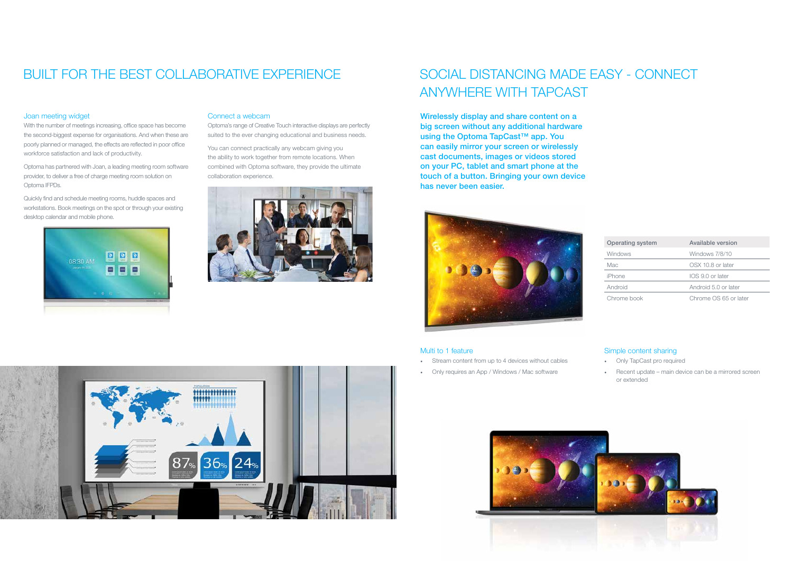# SOCIAL DISTANCING MADE EASY - CONNECT ANYWHERE WITH TAPCAST

Wirelessly display and share content on a big screen without any additional hardware using the Optoma TapCast™ app. You can easily mirror your screen or wirelessly cast documents, images or videos stored on your PC, tablet and smart phone at the touch of a button. Bringing your own device has never been easier.



- Stream content from up to 4 devices without cables
- Only requires an App / Windows / Mac software





# Multi to 1 feature

# Simple content sharing

- Only TapCast pro required
- Recent update main device can be a mirrored screen or extended

# BUILT FOR THE BEST COLLABORATIVE EXPERIENCE

# Joan meeting widget

With the number of meetings increasing, office space has become the second-biggest expense for organisations. And when these are poorly planned or managed, the effects are reflected in poor office workforce satisfaction and lack of productivity.

Optoma has partnered with Joan, a leading meeting room software provider, to deliver a free of charge meeting room solution on Optoma IFPDs.

Quickly find and schedule meeting rooms, huddle spaces and workstations. Book meetings on the spot or through your existing desktop calendar and mobile phone.



# Connect a webcam

Optoma's range of Creative Touch interactive displays are perfectly suited to the ever changing educational and business needs.

You can connect practically any webcam giving you the ability to work together from remote locations. When combined with Optoma software, they provide the ultimate collaboration experience.



| <b>Operating system</b> | Available version     |
|-------------------------|-----------------------|
| <b>Windows</b>          | Windows 7/8/10        |
| Mac                     | OSX 10.8 or later     |
| iPhone                  | IOS 9.0 or later      |
| Android                 | Android 5.0 or later  |
| Chrome book             | Chrome OS 65 or later |